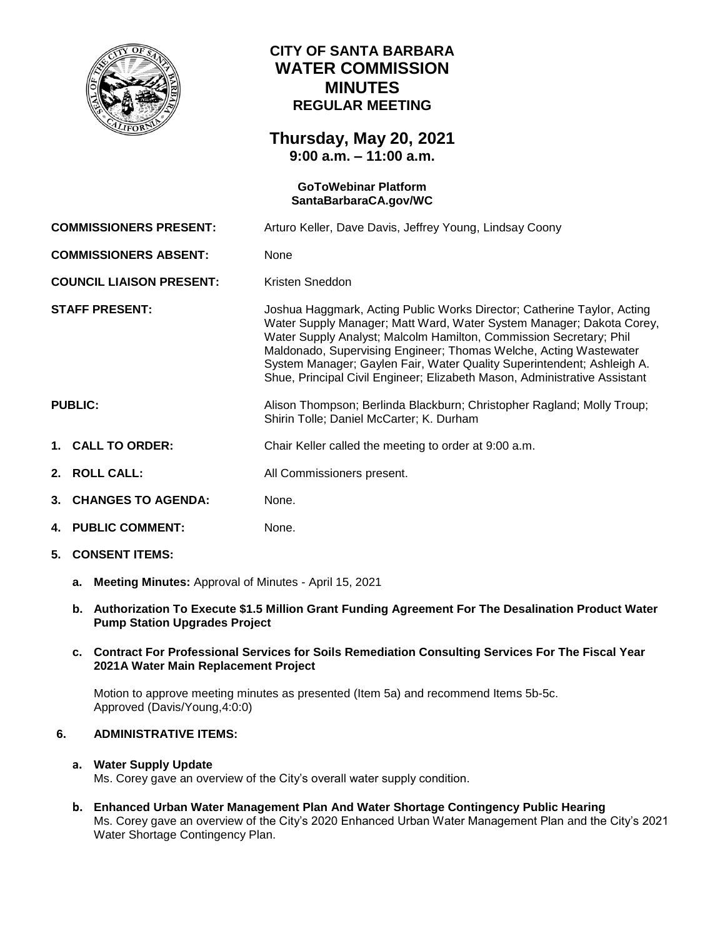

## **CITY OF SANTA BARBARA WATER COMMISSION MINUTES REGULAR MEETING**

## **Thursday, May 20, 2021 9:00 a.m. – 11:00 a.m.**

# **GoToWebinar Platform [SantaBarbaraCA.gov/WC](https://www.santabarbaraca.gov/gov/brdcomm/nz/water/agendas.asp) COMMISSIONERS PRESENT:** Arturo Keller, Dave Davis, Jeffrey Young, Lindsay Coony **COMMISSIONERS ABSENT:** None **COUNCIL LIAISON PRESENT:** Kristen Sneddon **STAFF PRESENT:** Joshua Haggmark, Acting Public Works Director; Catherine Taylor, Acting Water Supply Manager; Matt Ward, Water System Manager; Dakota Corey, Water Supply Analyst; Malcolm Hamilton, Commission Secretary; Phil Maldonado, Supervising Engineer; Thomas Welche, Acting Wastewater System Manager; Gaylen Fair, Water Quality Superintendent; Ashleigh A. Shue, Principal Civil Engineer; Elizabeth Mason, Administrative Assistant **PUBLIC:** Alison Thompson; Berlinda Blackburn; Christopher Ragland; Molly Troup; Shirin Tolle; Daniel McCarter; K. Durham **1. CALL TO ORDER:** Chair Keller called the meeting to order at 9:00 a.m. **2. ROLL CALL:** All Commissioners present. **3. CHANGES TO AGENDA:** None. **4. PUBLIC COMMENT:** None.

- **5. CONSENT ITEMS:**
	- **a. Meeting Minutes:** Approval of Minutes April 15, 2021
	- **b. Authorization To Execute \$1.5 Million Grant Funding Agreement For The Desalination Product Water Pump Station Upgrades Project**
	- **c. Contract For Professional Services for Soils Remediation Consulting Services For The Fiscal Year 2021A Water Main Replacement Project**

Motion to approve meeting minutes as presented (Item 5a) and recommend Items 5b-5c. Approved (Davis/Young,4:0:0)

### **6. ADMINISTRATIVE ITEMS:**

#### **a. Water Supply Update**

Ms. Corey gave an overview of the City's overall water supply condition.

**b. Enhanced Urban Water Management Plan And Water Shortage Contingency Public Hearing**  Ms. Corey gave an overview of the City's 2020 Enhanced Urban Water Management Plan and the City's 2021 Water Shortage Contingency Plan.